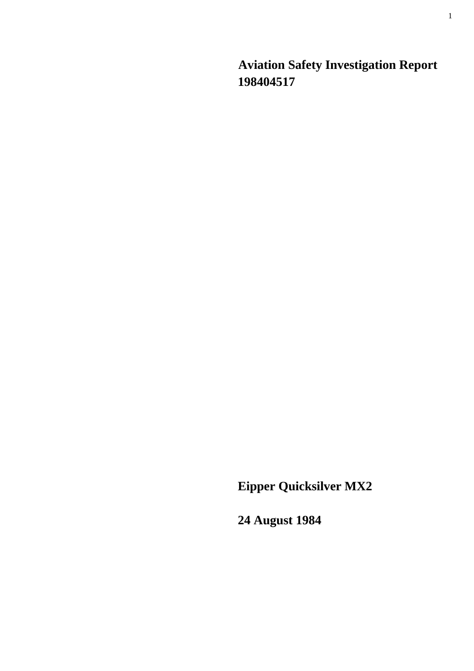**Aviation Safety Investigation Report 198404517** 

**Eipper Quicksilver MX2** 

**24 August 1984**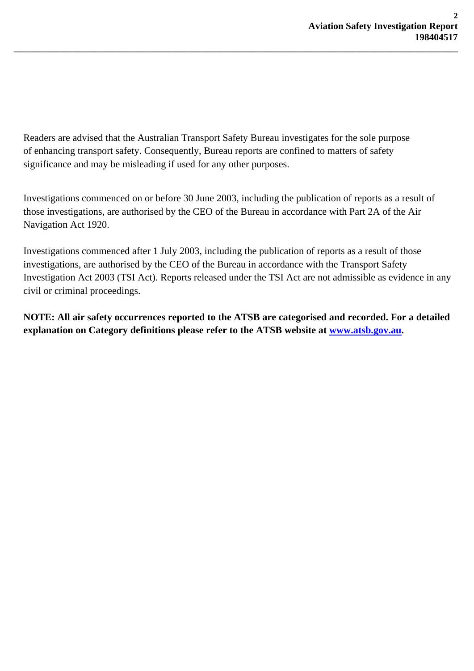Readers are advised that the Australian Transport Safety Bureau investigates for the sole purpose of enhancing transport safety. Consequently, Bureau reports are confined to matters of safety significance and may be misleading if used for any other purposes.

**\_\_\_\_\_\_\_\_\_\_\_\_\_\_\_\_\_\_\_\_\_\_\_\_\_\_\_\_\_\_\_\_\_\_\_\_\_\_\_\_\_\_\_\_\_\_\_\_\_\_\_\_\_\_\_\_\_\_\_\_\_\_\_\_\_\_\_\_\_\_\_\_\_\_\_\_\_\_\_\_\_\_\_\_\_\_\_\_\_\_\_\_\_** 

Investigations commenced on or before 30 June 2003, including the publication of reports as a result of those investigations, are authorised by the CEO of the Bureau in accordance with Part 2A of the Air Navigation Act 1920.

Investigations commenced after 1 July 2003, including the publication of reports as a result of those investigations, are authorised by the CEO of the Bureau in accordance with the Transport Safety Investigation Act 2003 (TSI Act). Reports released under the TSI Act are not admissible as evidence in any civil or criminal proceedings.

**NOTE: All air safety occurrences reported to the ATSB are categorised and recorded. For a detailed explanation on Category definitions please refer to the ATSB website at [www.atsb.gov.au](http://www.atsb.gov.au/).**